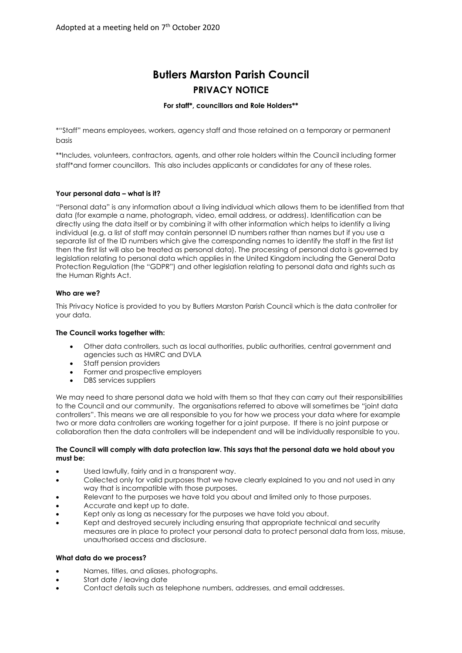# **Butlers Marston Parish Council PRIVACY NOTICE**

## **For staff\*, councillors and Role Holders\*\***

\*"Staff" means employees, workers, agency staff and those retained on a temporary or permanent basis

\*\*Includes, volunteers, contractors, agents, and other role holders within the Council including former staff\*and former councillors. This also includes applicants or candidates for any of these roles.

# **Your personal data – what is it?**

"Personal data" is any information about a living individual which allows them to be identified from that data (for example a name, photograph, video, email address, or address). Identification can be directly using the data itself or by combining it with other information which helps to identify a living individual (e.g. a list of staff may contain personnel ID numbers rather than names but if you use a separate list of the ID numbers which give the corresponding names to identify the staff in the first list then the first list will also be treated as personal data). The processing of personal data is governed by legislation relating to personal data which applies in the United Kingdom including the General Data Protection Regulation (the "GDPR") and other legislation relating to personal data and rights such as the Human Rights Act.

## **Who are we?**

This Privacy Notice is provided to you by Butlers Marston Parish Council which is the data controller for your data.

## **The Council works together with:**

- Other data controllers, such as local authorities, public authorities, central government and agencies such as HMRC and DVLA
- Staff pension providers
- Former and prospective employers
- DBS services suppliers

We may need to share personal data we hold with them so that they can carry out their responsibilities to the Council and our community. The organisations referred to above will sometimes be "joint data controllers". This means we are all responsible to you for how we process your data where for example two or more data controllers are working together for a joint purpose. If there is no joint purpose or collaboration then the data controllers will be independent and will be individually responsible to you.

#### **The Council will comply with data protection law. This says that the personal data we hold about you must be:**

- Used lawfully, fairly and in a transparent way.
- Collected only for valid purposes that we have clearly explained to you and not used in any way that is incompatible with those purposes.
- Relevant to the purposes we have told you about and limited only to those purposes.
- Accurate and kept up to date.
- Kept only as long as necessary for the purposes we have told you about.
- Kept and destroyed securely including ensuring that appropriate technical and security measures are in place to protect your personal data to protect personal data from loss, misuse, unauthorised access and disclosure.

## **What data do we process?**

- Names, titles, and aliases, photographs.
- Start date / leaving date
- Contact details such as telephone numbers, addresses, and email addresses.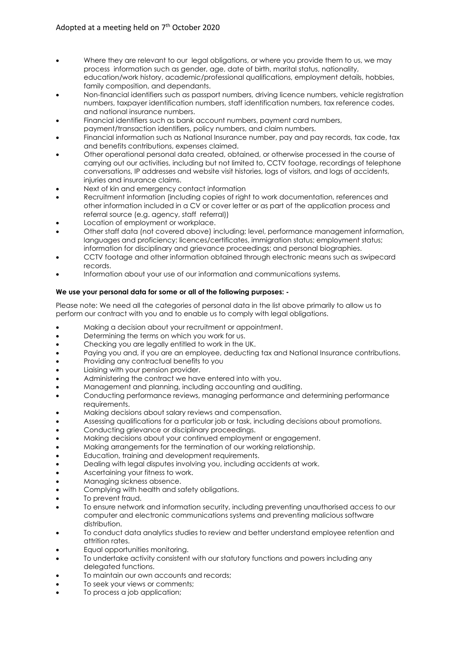- Where they are relevant to our legal obligations, or where you provide them to us, we may process information such as gender, age, date of birth, marital status, nationality, education/work history, academic/professional qualifications, employment details, hobbies, family composition, and dependants.
- Non-financial identifiers such as passport numbers, driving licence numbers, vehicle registration numbers, taxpayer identification numbers, staff identification numbers, tax reference codes, and national insurance numbers.
- Financial identifiers such as bank account numbers, payment card numbers,
- payment/transaction identifiers, policy numbers, and claim numbers.
- Financial information such as National Insurance number, pay and pay records, tax code, tax and benefits contributions, expenses claimed.
- Other operational personal data created, obtained, or otherwise processed in the course of carrying out our activities, including but not limited to, CCTV footage, recordings of telephone conversations, IP addresses and website visit histories, logs of visitors, and logs of accidents, injuries and insurance claims.
- Next of kin and emergency contact information
- Recruitment information (including copies of right to work documentation, references and other information included in a CV or cover letter or as part of the application process and referral source (e.g. agency, staff referral))
- Location of employment or workplace.
- Other staff data (not covered above) including; level, performance management information, languages and proficiency; licences/certificates, immigration status; employment status; information for disciplinary and grievance proceedings; and personal biographies.
- CCTV footage and other information obtained through electronic means such as swipecard records.
- Information about your use of our information and communications systems.

# **We use your personal data for some or all of the following purposes: -**

Please note: We need all the categories of personal data in the list above primarily to allow us to perform our contract with you and to enable us to comply with legal obligations.

- Making a decision about your recruitment or appointment.
- Determining the terms on which you work for us.
- Checking you are legally entitled to work in the UK.
- Paying you and, if you are an employee, deducting tax and National Insurance contributions.
- Providing any contractual benefits to you
- Liaising with your pension provider.
- Administering the contract we have entered into with you.
- Management and planning, including accounting and auditing.
- Conducting performance reviews, managing performance and determining performance requirements.
- Making decisions about salary reviews and compensation.
- Assessing qualifications for a particular job or task, including decisions about promotions.
- Conducting grievance or disciplinary proceedings.
- Making decisions about your continued employment or engagement.
- Making arrangements for the termination of our working relationship.
- Education, training and development requirements.
- Dealing with legal disputes involving you, including accidents at work.
- Ascertaining your fitness to work.
- Managing sickness absence.
- Complying with health and safety obligations.
- To prevent fraud.
- To ensure network and information security, including preventing unauthorised access to our computer and electronic communications systems and preventing malicious software distribution.
- To conduct data analytics studies to review and better understand employee retention and attrition rates.
- Equal opportunities monitoring.
- To undertake activity consistent with our statutory functions and powers including any delegated functions.
- To maintain our own accounts and records;
- To seek your views or comments;
- To process a job application;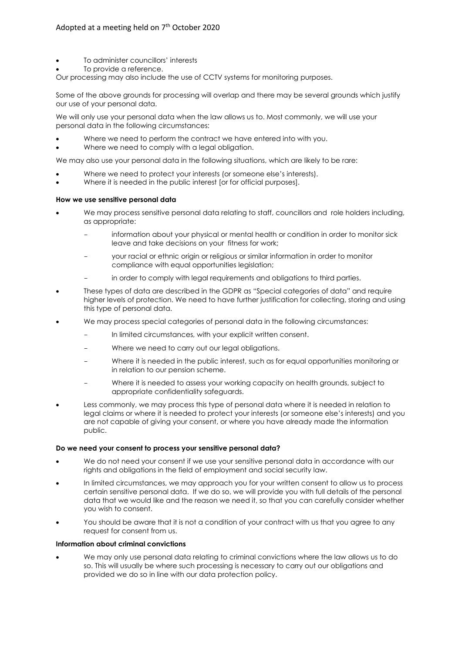- To administer councillors' interests
- To provide a reference.

Our processing may also include the use of CCTV systems for monitoring purposes.

Some of the above grounds for processing will overlap and there may be several grounds which justify our use of your personal data.

We will only use your personal data when the law allows us to. Most commonly, we will use your personal data in the following circumstances:

- Where we need to perform the contract we have entered into with you.
- Where we need to comply with a legal obligation.

We may also use your personal data in the following situations, which are likely to be rare:

- Where we need to protect your interests (or someone else's interests).
- Where it is needed in the public interest [or for official purposes].

## **How we use sensitive personal data**

- We may process sensitive personal data relating to staff, councillors and role holders including, as appropriate:
	- information about your physical or mental health or condition in order to monitor sick leave and take decisions on your fitness for work;
	- your racial or ethnic origin or religious or similar information in order to monitor compliance with equal opportunities legislation;
	- in order to comply with legal requirements and obligations to third parties.
- These types of data are described in the GDPR as "Special categories of data" and require higher levels of protection. We need to have further justification for collecting, storing and using this type of personal data.
- We may process special categories of personal data in the following circumstances:
	- In limited circumstances, with your explicit written consent.
	- Where we need to carry out our legal obligations.
	- Where it is needed in the public interest, such as for equal opportunities monitoring or in relation to our pension scheme.
	- Where it is needed to assess your working capacity on health grounds, subject to appropriate confidentiality safeguards.
- Less commonly, we may process this type of personal data where it is needed in relation to legal claims or where it is needed to protect your interests (or someone else's interests) and you are not capable of giving your consent, or where you have already made the information public.

## **Do we need your consent to process your sensitive personal data?**

- We do not need your consent if we use your sensitive personal data in accordance with our rights and obligations in the field of employment and social security law.
- In limited circumstances, we may approach you for your written consent to allow us to process certain sensitive personal data. If we do so, we will provide you with full details of the personal data that we would like and the reason we need it, so that you can carefully consider whether you wish to consent.
- You should be aware that it is not a condition of your contract with us that you agree to any request for consent from us.

## **Information about criminal convictions**

• We may only use personal data relating to criminal convictions where the law allows us to do so. This will usually be where such processing is necessary to carry out our obligations and provided we do so in line with our data protection policy.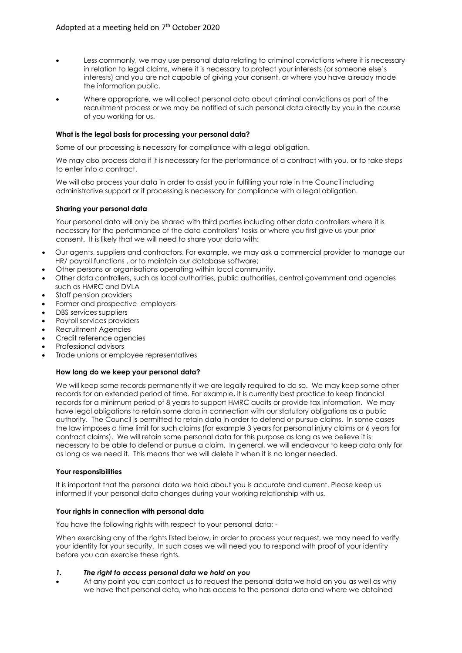- Less commonly, we may use personal data relating to criminal convictions where it is necessary in relation to legal claims, where it is necessary to protect your interests (or someone else's interests) and you are not capable of giving your consent, or where you have already made the information public.
- Where appropriate, we will collect personal data about criminal convictions as part of the recruitment process or we may be notified of such personal data directly by you in the course of you working for us.

## **What is the legal basis for processing your personal data?**

Some of our processing is necessary for compliance with a legal obligation.

We may also process data if it is necessary for the performance of a contract with you, or to take steps to enter into a contract.

We will also process your data in order to assist you in fulfilling your role in the Council including administrative support or if processing is necessary for compliance with a legal obligation.

## **Sharing your personal data**

Your personal data will only be shared with third parties including other data controllers where it is necessary for the performance of the data controllers' tasks or where you first give us your prior consent. It is likely that we will need to share your data with:

- Our agents, suppliers and contractors. For example, we may ask a commercial provider to manage our HR/ payroll functions , or to maintain our database software;
- Other persons or organisations operating within local community.
- Other data controllers, such as local authorities, public authorities, central government and agencies such as HMRC and DVLA
- Staff pension providers
- Former and prospective employers
- DBS services suppliers
- Payroll services providers
- Recruitment Agencies
- Credit reference agencies
- Professional advisors
- Trade unions or employee representatives

## **How long do we keep your personal data?**

We will keep some records permanently if we are legally required to do so. We may keep some other records for an extended period of time. For example, it is currently best practice to keep financial records for a minimum period of 8 years to support HMRC audits or provide tax information. We may have legal obligations to retain some data in connection with our statutory obligations as a public authority. The Council is permitted to retain data in order to defend or pursue claims. In some cases the law imposes a time limit for such claims (for example 3 years for personal injury claims or 6 years for contract claims). We will retain some personal data for this purpose as long as we believe it is necessary to be able to defend or pursue a claim. In general, we will endeavour to keep data only for as long as we need it. This means that we will delete it when it is no longer needed.

## **Your responsibilities**

It is important that the personal data we hold about you is accurate and current. Please keep us informed if your personal data changes during your working relationship with us.

## **Your rights in connection with personal data**

You have the following rights with respect to your personal data: -

When exercising any of the rights listed below, in order to process your request, we may need to verify your identity for your security. In such cases we will need you to respond with proof of your identity before you can exercise these rights.

## *1. The right to access personal data we hold on you*

• At any point you can contact us to request the personal data we hold on you as well as why we have that personal data, who has access to the personal data and where we obtained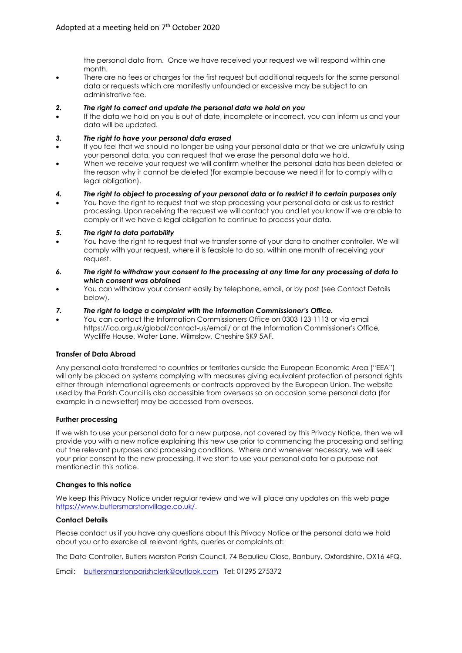the personal data from. Once we have received your request we will respond within one month.

• There are no fees or charges for the first request but additional requests for the same personal data or requests which are manifestly unfounded or excessive may be subject to an administrative fee.

#### *2. The right to correct and update the personal data we hold on you*

• If the data we hold on you is out of date, incomplete or incorrect, you can inform us and your data will be updated.

#### *3. The right to have your personal data erased*

- If you feel that we should no longer be using your personal data or that we are unlawfully using your personal data, you can request that we erase the personal data we hold.
- When we receive your request we will confirm whether the personal data has been deleted or the reason why it cannot be deleted (for example because we need it for to comply with a legal obligation).

#### *4. The right to object to processing of your personal data or to restrict it to certain purposes only*

• You have the right to request that we stop processing your personal data or ask us to restrict processing. Upon receiving the request we will contact you and let you know if we are able to comply or if we have a legal obligation to continue to process your data.

#### *5. The right to data portability*

- You have the right to request that we transfer some of your data to another controller. We will comply with your request, where it is feasible to do so, within one month of receiving your request.
- *6. The right to withdraw your consent to the processing at any time for any processing of data to which consent was obtained*
- You can withdraw your consent easily by telephone, email, or by post (see Contact Details below).

#### *7. The right to lodge a complaint with the Information Commissioner's Office.*

• You can contact the Information Commissioners Office on 0303 123 1113 or via email https://ico.org.uk/global/contact-us/email/ or at the Information Commissioner's Office, Wycliffe House, Water Lane, Wilmslow, Cheshire SK9 5AF.

#### **Transfer of Data Abroad**

Any personal data transferred to countries or territories outside the European Economic Area ("EEA") will only be placed on systems complying with measures giving equivalent protection of personal rights either through international agreements or contracts approved by the European Union. The website used by the Parish Council is also accessible from overseas so on occasion some personal data (for example in a newsletter) may be accessed from overseas.

## **Further processing**

If we wish to use your personal data for a new purpose, not covered by this Privacy Notice, then we will provide you with a new notice explaining this new use prior to commencing the processing and setting out the relevant purposes and processing conditions. Where and whenever necessary, we will seek your prior consent to the new processing, if we start to use your personal data for a purpose not mentioned in this notice.

#### **Changes to this notice**

We keep this Privacy Notice under regular review and we will place any updates on this web page [https://www.butlersmarstonvillage.co.uk/.](https://www.butlersmarstonvillage.co.uk/) 

## **Contact Details**

Please contact us if you have any questions about this Privacy Notice or the personal data we hold about you or to exercise all relevant rights, queries or complaints at:

The Data Controller, Butlers Marston Parish Council, 74 Beaulieu Close, Banbury, Oxfordshire, OX16 4FQ.

Email: [butlersmarstonparishclerk@outlook.com](mailto:butlersmarstonparishclerk@outlook.com) Tel: 01295 275372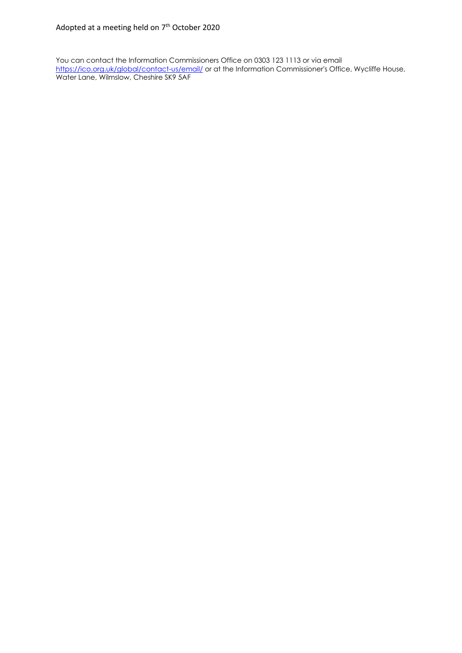You can contact the Information Commissioners Office on 0303 123 1113 or via email <https://ico.org.uk/global/contact-us/email/> or at the Information Commissioner's Office, Wycliffe House, Water Lane, Wilmslow, Cheshire SK9 5AF